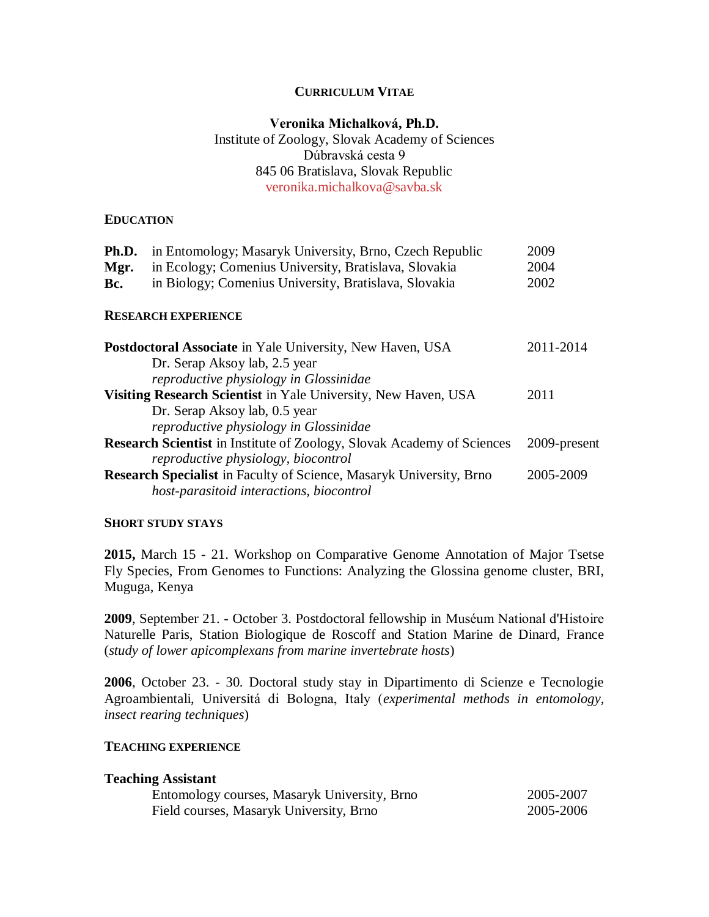## **CURRICULUM VITAE**

# **Veronika Michalková, Ph.D.** Institute of Zoology, Slovak Academy of Sciences Dúbravská cesta 9 845 06 Bratislava, Slovak Republic [veronika.michalkova@savba.sk](mailto:veronika.michalkova@savba.sk)

### **EDUCATION**

| Ph.D.                                                                         | in Entomology; Masaryk University, Brno, Czech Republic          | 2009         |
|-------------------------------------------------------------------------------|------------------------------------------------------------------|--------------|
| Mgr.                                                                          | in Ecology; Comenius University, Bratislava, Slovakia            | 2004         |
| Bc.                                                                           | in Biology; Comenius University, Bratislava, Slovakia            | 2002         |
|                                                                               | <b>RESEARCH EXPERIENCE</b>                                       |              |
|                                                                               | <b>Postdoctoral Associate</b> in Yale University, New Haven, USA | 2011-2014    |
|                                                                               | Dr. Serap Aksoy lab, 2.5 year                                    |              |
|                                                                               | reproductive physiology in Glossinidae                           |              |
|                                                                               | Visiting Research Scientist in Yale University, New Haven, USA   | 2011         |
|                                                                               | Dr. Serap Aksoy lab, 0.5 year                                    |              |
|                                                                               | reproductive physiology in Glossinidae                           |              |
| <b>Research Scientist</b> in Institute of Zoology, Slovak Academy of Sciences |                                                                  | 2009-present |
|                                                                               | reproductive physiology, biocontrol                              |              |
| <b>Research Specialist</b> in Faculty of Science, Masaryk University, Brno    |                                                                  | 2005-2009    |
|                                                                               | host-parasitoid interactions, biocontrol                         |              |
|                                                                               |                                                                  |              |

### **SHORT STUDY STAYS**

**2015,** March 15 - 21. Workshop on Comparative Genome Annotation of Major Tsetse Fly Species, From Genomes to Functions: Analyzing the Glossina genome cluster, BRI, Muguga, Kenya

**2009**, September 21. - October 3. Postdoctoral fellowship in Muséum National d'Histoire Naturelle Paris, Station Biologique de Roscoff and Station Marine de Dinard, France (*study of lower apicomplexans from marine invertebrate hosts*)

**2006**, October 23. - 30. Doctoral study stay in Dipartimento di Scienze e Tecnologie Agroambientali, Universitá di Bologna, Italy (*experimental methods in entomology, insect rearing techniques*)

#### **TEACHING EXPERIENCE**

### **Teaching Assistant**

| Entomology courses, Masaryk University, Brno | 2005-2007 |
|----------------------------------------------|-----------|
| Field courses, Masaryk University, Brno      | 2005-2006 |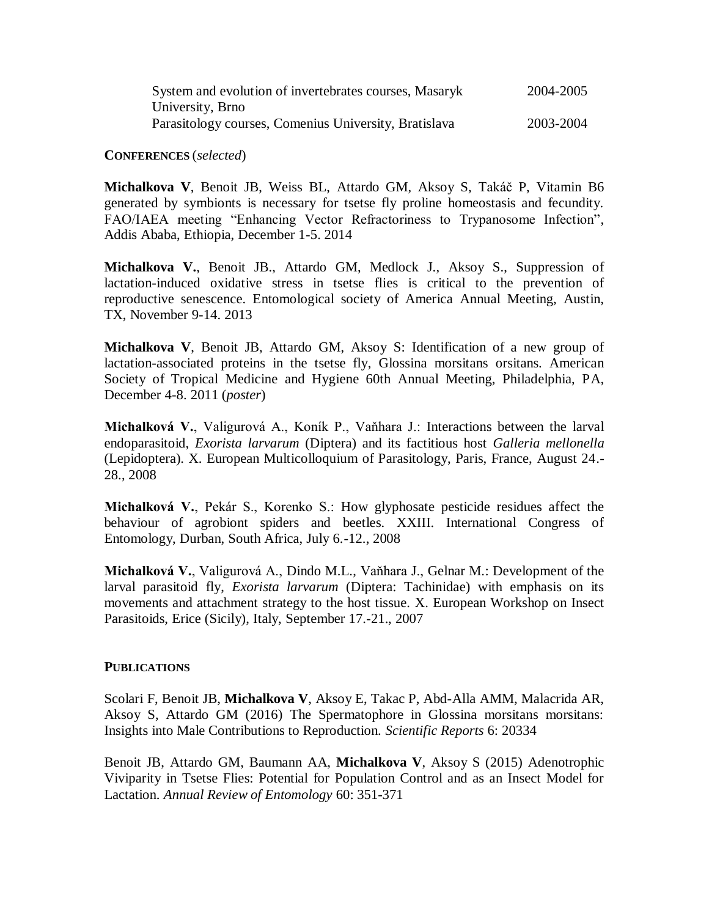| System and evolution of invertebrates courses, Masaryk | 2004-2005 |
|--------------------------------------------------------|-----------|
| University, Brno                                       |           |
| Parasitology courses, Comenius University, Bratislava  | 2003-2004 |

**CONFERENCES** (*selected*)

**Michalkova V**, Benoit JB, Weiss BL, Attardo GM, Aksoy S, Takáč P, Vitamin B6 generated by symbionts is necessary for tsetse fly proline homeostasis and fecundity. FAO/IAEA meeting "Enhancing Vector Refractoriness to Trypanosome Infection", Addis Ababa, Ethiopia, December 1-5. 2014

**Michalkova V.**, Benoit JB., Attardo GM, Medlock J., Aksoy S., Suppression of lactation-induced oxidative stress in tsetse flies is critical to the prevention of reproductive senescence. Entomological society of America Annual Meeting, Austin, TX, November 9-14. 2013

**Michalkova V**, Benoit JB, Attardo GM, Aksoy S: Identification of a new group of lactation-associated proteins in the tsetse fly, Glossina morsitans orsitans. American Society of Tropical Medicine and Hygiene 60th Annual Meeting, Philadelphia, PA, December 4-8. 2011 (*poster*)

**Michalková V.**, Valigurová A., Koník P., Vaňhara J.: Interactions between the larval endoparasitoid, *Exorista larvarum* (Diptera) and its factitious host *Galleria mellonella*  (Lepidoptera). X. European Multicolloquium of Parasitology, Paris, France, August 24.- 28., 2008

**Michalková V.**, Pekár S., Korenko S.: How glyphosate pesticide residues affect the behaviour of agrobiont spiders and beetles. XXIII. International Congress of Entomology, Durban, South Africa, July 6.-12., 2008

**Michalková V.**, Valigurová A., Dindo M.L., Vaňhara J., Gelnar M.: Development of the larval parasitoid fly, *Exorista larvarum* (Diptera: Tachinidae) with emphasis on its movements and attachment strategy to the host tissue. X. European Workshop on Insect Parasitoids, Erice (Sicily), Italy, September 17.-21., 2007

## **PUBLICATIONS**

Scolari F, Benoit JB, **Michalkova V**, Aksoy E, Takac P, Abd-Alla AMM, Malacrida AR, Aksoy S, Attardo GM (2016) The Spermatophore in Glossina morsitans morsitans: Insights into Male Contributions to Reproduction. *Scientific Reports* 6: 20334

Benoit JB, Attardo GM, Baumann AA, **Michalkova V**, Aksoy S (2015) Adenotrophic Viviparity in Tsetse Flies: Potential for Population Control and as an Insect Model for Lactation. *Annual Review of Entomology* 60: 351-371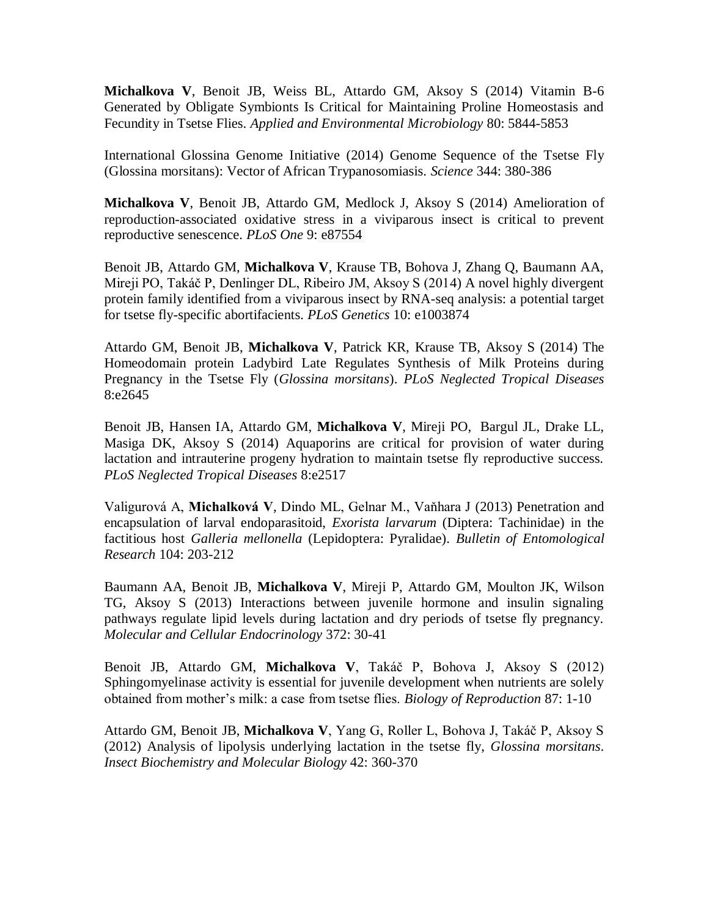**Michalkova V**, Benoit JB, Weiss BL, Attardo GM, Aksoy S (2014) Vitamin B-6 Generated by Obligate Symbionts Is Critical for Maintaining Proline Homeostasis and Fecundity in Tsetse Flies. *Applied and Environmental Microbiology* 80: 5844-5853

International Glossina Genome Initiative (2014) Genome Sequence of the Tsetse Fly (Glossina morsitans): Vector of African Trypanosomiasis. *Science* 344: 380-386

**Michalkova V**, Benoit JB, Attardo GM, Medlock J, Aksoy S (2014) Amelioration of reproduction-associated oxidative stress in a viviparous insect is critical to prevent reproductive senescence. *PLoS One* 9: e87554

Benoit JB, Attardo GM, **Michalkova V**, Krause TB, Bohova J, Zhang Q, Baumann AA, Mireji PO, Takáč P, Denlinger DL, Ribeiro JM, Aksoy S (2014) A novel highly divergent protein family identified from a viviparous insect by RNA-seq analysis: a potential target for tsetse fly-specific abortifacients. *PLoS Genetics* 10: e1003874

Attardo GM, Benoit JB, **Michalkova V**, Patrick KR, Krause TB, Aksoy S (2014) The Homeodomain protein Ladybird Late Regulates Synthesis of Milk Proteins during Pregnancy in the Tsetse Fly (*Glossina morsitans*). *PLoS Neglected Tropical Diseases* 8:e2645

Benoit JB, Hansen IA, Attardo GM, **Michalkova V**, Mireji PO, Bargul JL, Drake LL, Masiga DK, Aksoy S (2014) Aquaporins are critical for provision of water during lactation and intrauterine progeny hydration to maintain tsetse fly reproductive success. *PLoS Neglected Tropical Diseases* 8:e2517

Valigurová A, **Michalková V**, Dindo ML, Gelnar M., Vaňhara J (2013) Penetration and encapsulation of larval endoparasitoid, *Exorista larvarum* (Diptera: Tachinidae) in the factitious host *Galleria mellonella* (Lepidoptera: Pyralidae). *Bulletin of Entomological Research* 104: 203-212

Baumann AA, Benoit JB, **Michalkova V**, Mireji P, Attardo GM, Moulton JK, Wilson TG, Aksoy S (2013) Interactions between juvenile hormone and insulin signaling pathways regulate lipid levels during lactation and dry periods of tsetse fly pregnancy. *Molecular and Cellular Endocrinology* 372: 30-41

Benoit JB, Attardo GM, **Michalkova V**, Takáč P, Bohova J, Aksoy S (2012) Sphingomyelinase activity is essential for juvenile development when nutrients are solely obtained from mother's milk: a case from tsetse flies. *Biology of Reproduction* 87: 1-10

Attardo GM, Benoit JB, **Michalkova V**, Yang G, Roller L, Bohova J, Takáč P, Aksoy S (2012) Analysis of lipolysis underlying lactation in the tsetse fly, *Glossina morsitans*. *Insect Biochemistry and Molecular Biology* 42: 360-370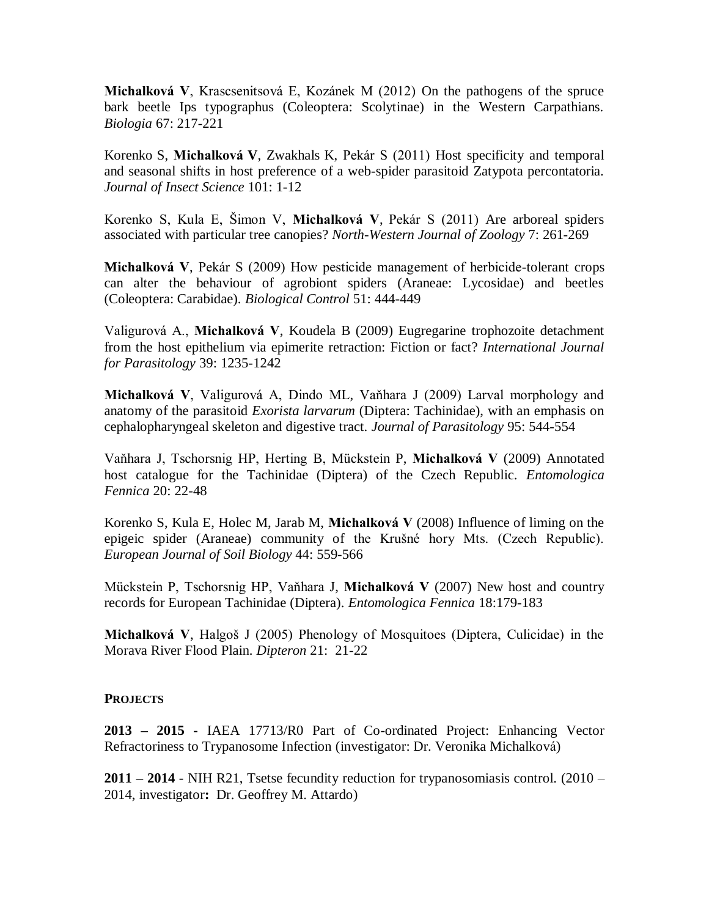**Michalková V**, Krascsenitsová E, Kozánek M (2012) On the pathogens of the spruce bark beetle Ips typographus (Coleoptera: Scolytinae) in the Western Carpathians. *Biologia* 67: 217-221

Korenko S, **Michalková V**, Zwakhals K, Pekár S (2011) Host specificity and temporal and seasonal shifts in host preference of a web-spider parasitoid Zatypota percontatoria. *Journal of Insect Science* 101: 1-12

Korenko S, Kula E, Šimon V, **Michalková V**, Pekár S (2011) Are arboreal spiders associated with particular tree canopies? *North-Western Journal of Zoology* 7: 261-269

**Michalková V**, Pekár S (2009) How pesticide management of herbicide-tolerant crops can alter the behaviour of agrobiont spiders (Araneae: Lycosidae) and beetles (Coleoptera: Carabidae). *Biological Control* 51: 444-449

Valigurová A., **Michalková V**, Koudela B (2009) Eugregarine trophozoite detachment from the host epithelium via epimerite retraction: Fiction or fact? *International Journal for Parasitology* 39: 1235-1242

**Michalková V**, Valigurová A, Dindo ML, Vaňhara J (2009) Larval morphology and anatomy of the parasitoid *Exorista larvarum* (Diptera: Tachinidae), with an emphasis on cephalopharyngeal skeleton and digestive tract. *Journal of Parasitology* 95: 544-554

Vaňhara J, Tschorsnig HP, Herting B, Mückstein P, **Michalková V** (2009) Annotated host catalogue for the Tachinidae (Diptera) of the Czech Republic. *Entomologica Fennica* 20: 22-48

Korenko S, Kula E, Holec M, Jarab M, **Michalková V** (2008) Influence of liming on the epigeic spider (Araneae) community of the Krušné hory Mts. (Czech Republic). *European Journal of Soil Biology* 44: 559-566

Mückstein P, Tschorsnig HP, Vaňhara J, **Michalková V** (2007) New host and country records for European Tachinidae (Diptera). *Entomologica Fennica* 18:179-183

**Michalková V**, Halgoš J (2005) Phenology of Mosquitoes (Diptera, Culicidae) in the Morava River Flood Plain. *Dipteron* 21: 21-22

## **PROJECTS**

**2013 – 2015 -** IAEA 17713/R0 Part of Co-ordinated Project: Enhancing Vector Refractoriness to Trypanosome Infection (investigator: Dr. Veronika Michalková)

**2011 – 2014** - NIH R21, Tsetse fecundity reduction for trypanosomiasis control. (2010 – 2014, investigator**:** Dr. Geoffrey M. Attardo)